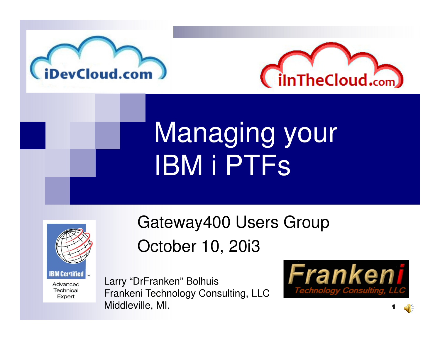



## Managing yourIBM i PTFs



Gateway400 Users GroupOctober 10, 20i3

Larry "DrFranken" Bolhuis Frankeni Technology Consulting, LLCMiddleville, MI.

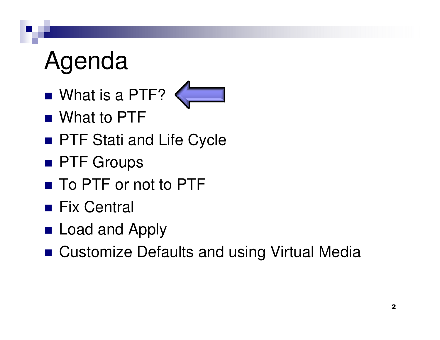### Agenda

■ What is a PTF?



- What to PTF
- PTF Stati and Life Cycle
- PTF Groups
- To PTF or not to PTF
- Fix Central
- Load and Apply
- Customize Defaults and using Virtual Media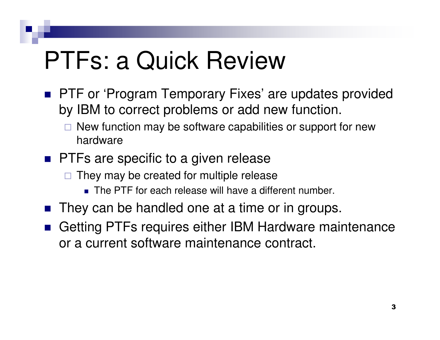### PTFs: a Quick Review

- **PTF or 'Program Temporary Fixes' are updates provided** by IBM to correct problems or add new function.
	- $\Box$  New function may be software capabilities or support for new hardware
- **PTFs are specific to a given release** 
	- $\Box$  They may be created for multiple release
		- The PTF for each release will have a different number.
- F. They can be handled one at a time or in groups.
- Getting PTFs requires either IBM Hardware maintenance or a current software maintenance contract.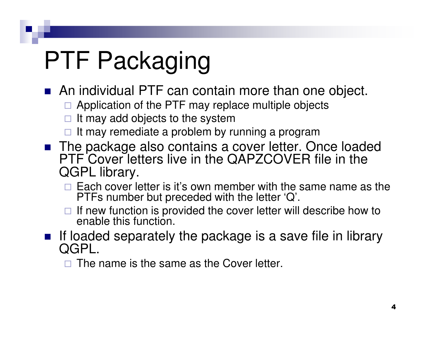## PTF Packaging

- An individual PTF can contain more than one object.
	- □ Application of the PTF may replace multiple objects
	- □ It may add objects to the system
	- □ It may remediate a problem by running a program
- The package also contains a cover letter. Once loaded PTF Cover letters live in the QAPZCOVER file in the QGPL library.
	- $\Box$  Each cover letter is it's own member with the same name as the PTFs number but preceded with the letter 'Q'.
	- $\Box$  If new function is provided the cover letter will describe how to enable this function.
- If loaded separately the package is a save file in library  $\bigcap_{n=0}^{\infty}$ QGPL.

 $\Box$  The name is the same as the Cover letter.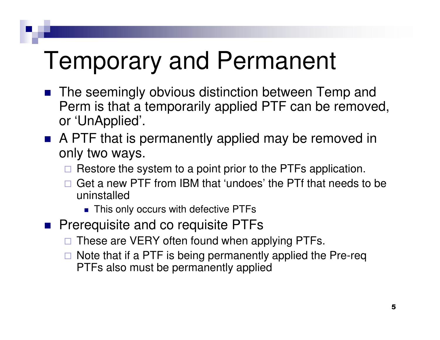### Temporary and Permanent

- The seemingly obvious distinction between Temp and Perm is that a temporarily applied PTF can be removed, or 'UnApplied'.
- **A PTF that is permanently applied may be removed in** only two ways.
	- □ Restore the system to a point prior to the PTFs application.
	- $\Box$  Get a new PTF from IBM that 'undoes' the PTf that needs to be uninstalled
		- This only occurs with defective PTFs
- **Prerequisite and co requisite PTFs** 
	- □ These are VERY often found when applying PTFs.
	- □ Note that if a PTF is being permanently applied the Pre-req<br>PTFs also must be permanently applied PTFs also must be permanently applied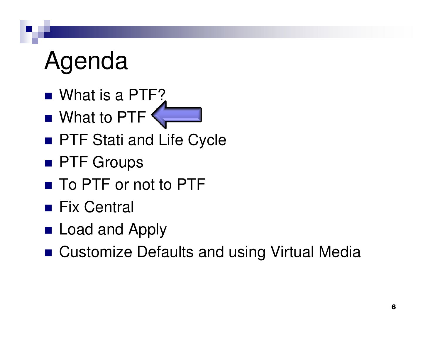### Agenda

- What is a PTF?
- What to PTF
- PTF Stati and Life Cycle
- PTF Groups
- To PTF or not to PTF
- Fix Central
- Load and Apply
- Customize Defaults and using Virtual Media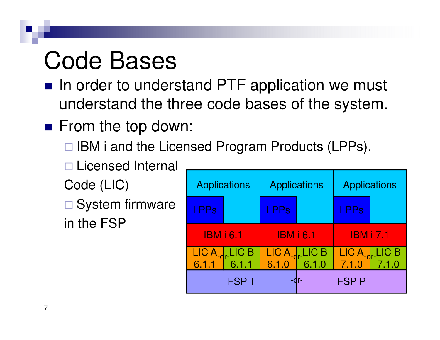### Code Bases

- In order to understand PTF application we must understand the three code bases of the system.
- From the top down:
	- □ IBM i and the Licensed Program Products (LPPs).
	- □ Licensed Internal
	- Code (LIC)
	- □ System firmware in the FSP

| <b>Applications</b>                                                                                              |  | <b>Applications</b> |                                            | <b>Applications</b> |                                            |
|------------------------------------------------------------------------------------------------------------------|--|---------------------|--------------------------------------------|---------------------|--------------------------------------------|
| LPPs                                                                                                             |  | <b>LPPs</b>         |                                            | <b>LPPs</b>         |                                            |
| <b>IBM i 6.1</b>                                                                                                 |  | <b>IBM i 6.1</b>    |                                            | <b>IBM i 7.1</b>    |                                            |
| $\begin{array}{ c c c c }\n\hline\n\text{LIC A}_\text{-dr} & \text{LIC B} \\ \hline\n6.1.1 & 6.1.1\n\end{array}$ |  |                     | LIC A <sub>-dr-</sub> LIC B<br>6.1.0 6.1.0 |                     | LIC A <sub>-qr-</sub> LIC B<br>7.1.0 7.1.0 |
| <b>FSPT</b><br>$-dr-$                                                                                            |  |                     |                                            | <b>FSP P</b>        |                                            |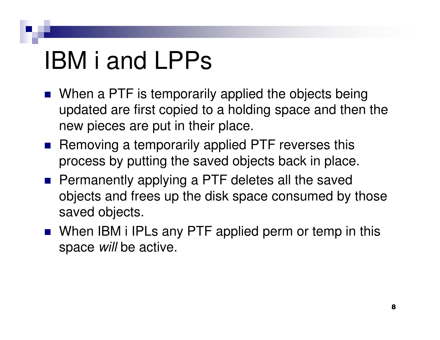### IBM i and LPPs

- **Nhen a PTF is temporarily applied the objects being** updated are first copied to a holding space and then the new pieces are put in their place.
- Removing a temporarily applied PTF reverses this process by putting the saved objects back in place.
- **Permanently applying a PTF deletes all the saved** objects and frees up the disk space consumed by those saved objects.
- When IBM i IPLs any PTF applied perm or temp in this space *will* be active.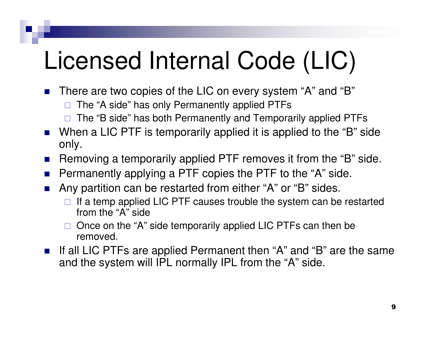### Licensed Internal Code (LIC)

- There are two copies of the LIC on every system "A" and "B"
	- $\Box$ The "A side" has only Permanently applied PTFs
	- $\Box$ The "B side" has both Permanently and Temporarily applied PTFs
- When a LIC PTF is temporarily applied it is applied to the "B" side only.
- Removing a temporarily applied PTF removes it from the "B" side.
- F. Permanently applying a PTF copies the PTF to the "A" side.
- $\mathcal{L}_{\rm{max}}$  Any partition can be restarted from either "A" or "B" sides.
	- $\Box$  If a temp applied LIC PTF causes trouble the system can be restarted from the "A" side
	- □ Once on the "A" side temporarily applied LIC PTFs can then be removed removed.
- If all LIC PTFs are applied Permanent then "A" and "B" are the same and the system will IPL normally IPL from the "A" side.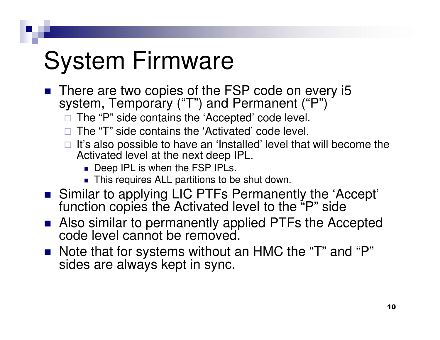### System Firmware

- There are two copies of the FSP code on every  $15$ <br>existent  $T_{\text{S}}$  conserves  $(T_{\text{S}}^{m})$  and Bermanant  $(T_{\text{S}}^{m})$ system, Temporary ("T") and Permanent ("P")
	- □ The "P" side contains the 'Accepted' code level.
	- $\Box$ The "T" side contains the 'Activated' code level.
	- □ It's also possible to have an 'Installed' level that will become the lativated level at the next deen IPI Activated level at the next deep IPL.
		- Deep IPL is when the FSP IPLs.
		- This requires ALL partitions to be shut down.
- Similar to applying LIC PTFs Permanently the 'Accept' function copies the Activated level to the "P" side
- Also similar to permanently applied PTFs the Accepted code level cannot be removed.
- Note that for systems without an HMC the "T" and "P" sides are always kept in sync.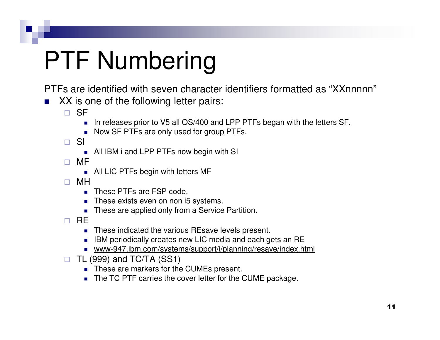## PTF Numbering

PTFs are identified with seven character identifiers formatted as "XXnnnnn"

- XX is one of the following letter pairs:
	- $\Box$  SF
		- $\blacksquare$ In releases prior to V5 all OS/400 and LPP PTFs began with the letters SF.
		- Now SF PTFs are only used for group PTFs.

 $\Box$  SI

- All IBM i and LPP PTFs now begin with SI
- $\Box$  MF
	- All LIC PTFs begin with letters MF
- $\Box$  MH
	- П These PTFs are FSP code.
	- These exists even on non i5 systems.
	- These are applied only from a Service Partition.
- $\Box$  RE
	- These indicated the various REsave levels present.
	- $\blacksquare$  IBM periodically creates new LIC media and each gets an RE
	- www-947.ibm.com/systems/support/i/planning/resave/index.html
- $\Box$  TL (999) and TC/TA (SS1)
	- **These are markers for the CUMEs present.**
	- The TC PTF carries the cover letter for the CUME package.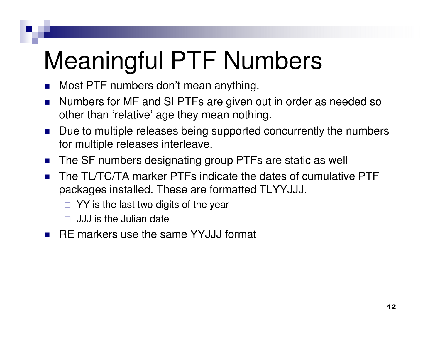### Meaningful PTF Numbers

- У. Most PTF numbers don't mean anything.
- $\mathcal{L}_{\mathcal{A}}$  Numbers for MF and SI PTFs are given out in order as needed so other than 'relative' age they mean nothing.
- $\mathcal{L}_{\mathcal{A}}$  Due to multiple releases being supported concurrently the numbers for multiple releases interleave.
- $\mathcal{L}_{\mathcal{A}}$ The SF numbers designating group PTFs are static as well
- $\mathcal{L}_{\mathcal{A}}$  The TL/TC/TA marker PTFs indicate the dates of cumulative PTF packages installed. These are formatted TLYYJJJ.
	- $\Box$  YY is the last two digits of the year
	- $\Box$ JJJ is the Julian date
- RE markers use the same YYJJJ format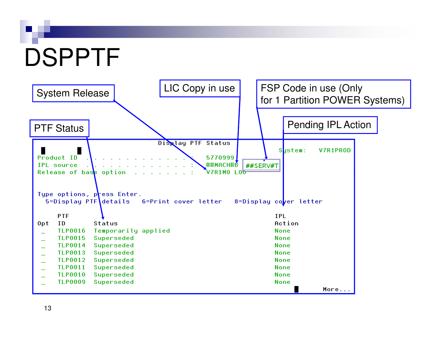# DSPPTF

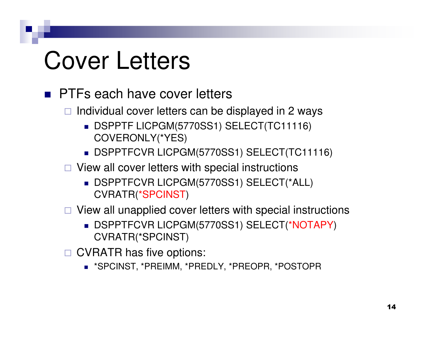### Cover Letters

- **PTFs each have cover letters** 
	- □ Individual cover letters can be displayed in 2 ways
		- DSPPTF LICPGM(5770SS1) SELECT(TC11116) COVERONLY(\*YES)
		- DSPPTFCVR LICPGM(5770SS1) SELECT(TC11116)
	- □ View all cover letters with special instructions
		- DSPPTFCVR LICPGM(5770SS1) SELECT(\*ALL) CVRATR(\*SPCINST)
	- □ View all unapplied cover letters with special instructions
		- DSPPTFCVR LICPGM(5770SS1) SELECT(\*NOTAPY) CVRATR(\*SPCINST)
	- □ CVRATR has five options:
		- \*SPCINST, \*PREIMM, \*PREDLY, \*PREOPR, \*POSTOPR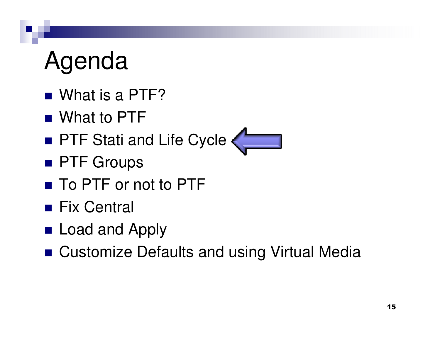### Agenda

- What is a PTF?
- What to PTF
- PTF Stati and Life Cycle
- PTF Groups
- To PTF or not to PTF
- Fix Central
- Load and Apply
- Customize Defaults and using Virtual Media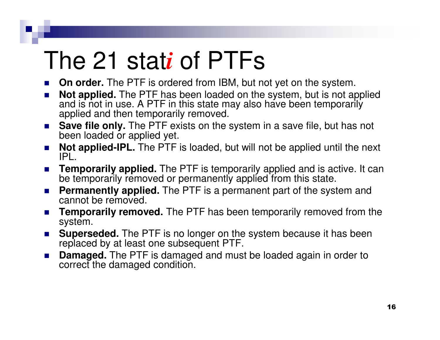### The 21 stat*i* of PTFs

- **On order.** The PTF is ordered from IBM, but not yet on the system. n.
- **College Not applied.** The PTF has been loaded on the system, but is not applied and is not in use. A PTF in this state may also have been temporarily applied and then temporarily removed.
- **Save file only.** The PTF exists on the system in a save file, but has not n. been loaded or applied yet.
- $\mathcal{L}^{\mathcal{L}}$  **Not applied-IPL.** The PTF is loaded, but will not be applied until the next IPL.
- $\mathcal{L}^{\text{max}}_{\text{max}}$  **Temporarily applied.** The PTF is temporarily applied and is active. It can be temporarily removed or permanently applied from this state.
- $\mathcal{O}^{\mathcal{O}}_{\mathcal{O}}$  **Permanently applied.** The PTF is a permanent part of the system and cannot be removed.
- **College Temporarily removed.** The PTF has been temporarily removed from the system.
- **Superseded.** The PTF is no longer on the system because it has been **Contract** replaced by at least one subsequent PTF.
- $\mathcal{L}^{\text{max}}_{\text{max}}$  **Damaged.** The PTF is damaged and must be loaded again in order to correct the damaged condition.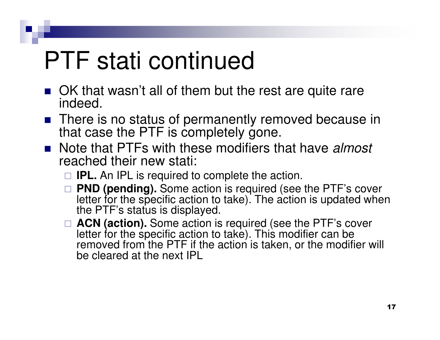### PTF stati continued

- OK that wasn't all of them but the rest are quite rare indeed.
- There is no status of permanently removed because in that case the PTF is completely gone.
- Note that PTFs with these modifiers that have *almost* reached their new stati:
	- $\Box$  **IPL.** An IPL is required to complete the action.
	- □ **PND (pending).** Some action is required (see the PTF's cover<br>Letter for the specific action to take). The action is undated whe letter for the specific action to take). The action is updated when the PTF's status is displayed.
	- □ **ACN (action).** Some action is required (see the PTF's cover letter for the specific action to take). This modifier can be removed from the PTF if the action is taken, or the modifier will be cleared at the next IPL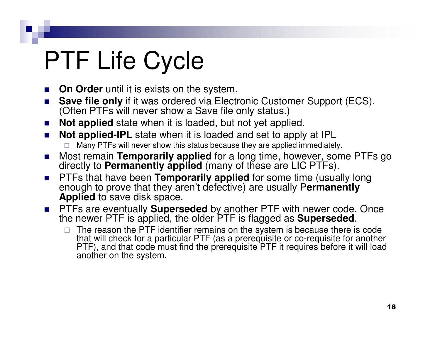## PTF Life Cycle

- $\mathcal{L}_{\mathcal{A}}$ **On Order** until it is exists on the system.
- $\sim$  **Save file only** if it was ordered via Electronic Customer Support (ECS). (Often PTFs will never show a Save file only status.)
- **Not applied** state when it is loaded, but not yet applied. n.
- $\mathcal{L}_{\mathcal{A}}$ **Not applied-IPL** state when it is loaded and set to apply at IPL  $\Box$ Many PTFs will never show this status because they are applied immediately.
- $\mathcal{L}(\mathcal{A})$ ■ Most remain **Temporarily applied** for a long time, however, some PTFs go<br>directly to **Permanently applied** (many of these are LIC PTEs) directly to **Permanently applied** (many of these are LIC PTFs).
- $\mathcal{L}^{\text{max}}$ **PTFs that have been <b>Temporarily applied** for some time (usually long<br>applied for some that they aren't defective) are usually Permanently enough to prove that they aren't defective) are usually P**ermanently Applied** to save disk space.
- PTFs are eventually **Superseded** by another PTF with newer code. Once the newer PTF is applied, the older PTF is flagged as **Superseded**.
	- - The reason the PTF identifier remains on the system is because there is code that will check for a particular PTF (as a prerequisite or co-requisite for another PTF), and that code must find the prerequisite PTF it requires before it will load another on the system.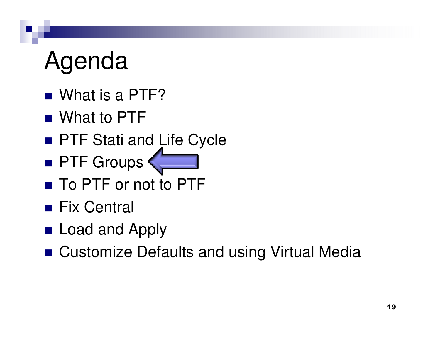### Agenda

- What is a PTF?
- What to PTF
- **PTF Stati and Life Cycle**
- PTF Groups
- To PTF or not to PTF
- Fix Central
- Load and Apply
- Customize Defaults and using Virtual Media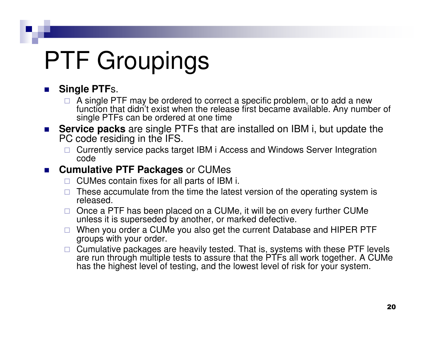#### n. **Single PTF**s.

- □ A single PTF may be ordered to correct a specific problem, or to add a new<br>function that didn't exist when the release first became available. Any numbe function that didn't exist when the release first became available. Any number of single PTFs can be ordered at one time
- **Service packs** are single PTFs that are installed on IBM i, but update the BC sade residing in the IFS  $\mathcal{L}_{\mathcal{A}}$ PC code residing in the IFS.
	- - Currently service packs target IBM i Access and Windows Server Integration code

#### **Cumulative PTF Packages** or CUMes  $\mathcal{L}(\mathcal{A})$  .

- □ CUMes contain fixes for all parts of IBM i.
- - These accumulate from the time the latest version of the operating system is released.
- □ Once a PTF has been placed on a CUMe, it will be on every further CUMe<br>unless it is superseded by another, or marked defective unless it is superseded by another, or marked defective.
- □ When you order a CUMe you also get the current Database and HIPER PTF arouns with your order groups with your order.
- □ Cumulative packages are heavily tested. That is, systems with these PTF levels<br>are run through multiple tests to assure that the PTFs all work together. A CUMe has the highest level of testing, and the lowest level of risk for your system.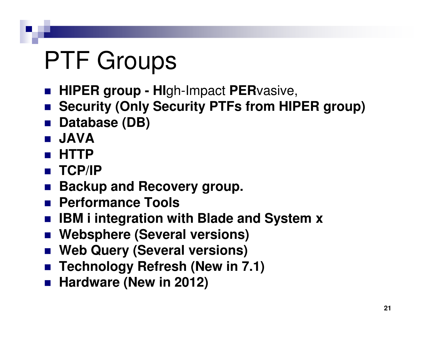### PTF Groups

- **HIPER group HI**gh-Impact **PER**vasive,
- **Security (Only Security PTFs from HIPER group)**
- m. **Database (DB)**
- F. **JAVA**
- **HTTP**F.
- **TCP/IP**
- **Backup and Recovery group.**
- **Performance Tools**
- **IBM i** integration with Blade and System **x**
- **Websphere (Several versions)**
- **Web Query (Several versions)**
- **Technology Refresh (New in 7.1)**
- Hardware (New in 2012)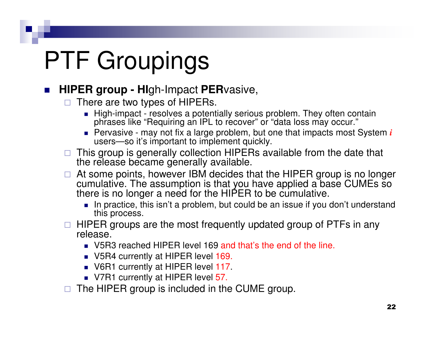#### $\mathcal{L}_{\mathcal{A}}$ **HIPER group - HI**gh-Impact **PER**vasive,

- $\Box$  There are two types of HIPERs.
	- High-impact resolves a potentially serious problem. They often contain phrases like "Requiring an IPL to recover" or "data loss may occur."
	- **Pervasive may not fix a large problem, but one that impacts most System** *i* users—so it's important to implement quickly.
- □ This group is generally collection HIPERs available from the date that <br>the release became generally available the release became generally available.
- $\Box$  At some points, however IBM decides that the HIPER group is no longer cumulative. The assumption is that you have applied a base CUMEs so there is no longer a need for the HIPER to be cumulative.
	- In practice, this isn't a problem, but could be an issue if you don't understand this process.
- □ HIPER groups are the most frequently updated group of PTFs in any<br>release release.
	- V5R3 reached HIPER level 169 and that's the end of the line.
	- V5R4 currently at HIPER level 169.
	- V6R1 currently at HIPER level 117.
	- V7R1 currently at HIPER level <mark>5</mark>7.
- $\Box$ The HIPER group is included in the CUME group.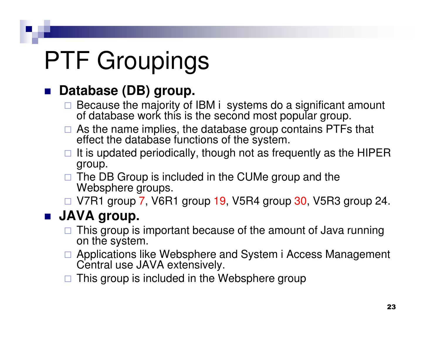#### F. **Database (DB) group.**

- $\Box$  Because the majority of IBM i systems do a significant amount of database work this is the second most popular group.
- $\Box$  As the name implies, the database group contains PTFs that effect the database functions of the system.
- $\Box$  It is updated periodically, though not as frequently as the HIPER aroun group.
- □ The DB Group is included in the CUMe group and the Mehsphere groups Websphere groups.
- V7R1 group 7, V6R1 group 19, V5R4 group 30, V5R3 group 24.

### **JAVA group.**

- $\Box$  This group is important because of the amount of Java running on the system.
- □ Applications like Websphere and System i Access Management<br>Central use JAVA extensively Central use JAVA extensively.
- $\Box$  This group is included in the Websphere group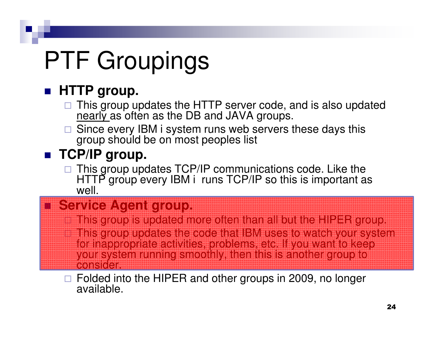### **HTTP group.**

- $\Box$  This group updates the HTTP server code, and is also updated nearly as often as the DB and JAVA groups.
- □ Since every IBM i system runs web servers these days this aroun should be an most peoples list group should be on most peoples list

### ■ TCP/IP group.

装置機<br>装置機<br>装置機

-

-

 $\Box$  This group updates TCP/IP communications code. Like the HTTP group every IBM i runs TCP/IP so this is important as well.

### **Service Agent group.**

- This group is updated more often than all but the HIPER group. This group updates the code that IBM uses to watch your system for inappropriate activities, problems, etc. If you want to keep your system running smoothly, then this is another group to **consider**
- □ Folded into the HIPER and other groups in 2009, no longer<br>available available.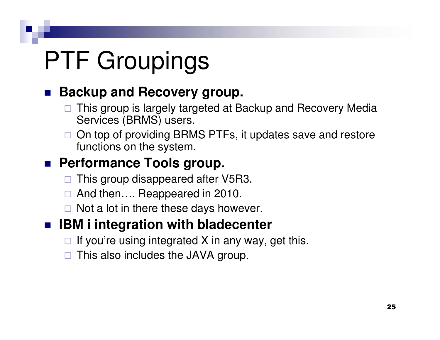### **Backup and Recovery group.**

- $\Box$  This group is largely targeted at Backup and Recovery Media Services (BRMS) users.
- □ On top of providing BRMS PTFs, it updates save and restore functions on the system.

### ■ Performance Tools group.

- $\Box$ This group disappeared after V5R3.
- $\Box$ And then…. Reappeared in 2010.
- □ Not a lot in there these days however.

#### $\mathbb{R}^2$ **IBM i integration with bladecenter**

- □ If you're using integrated X in any way, get this.
- $\Box$ This also includes the JAVA group.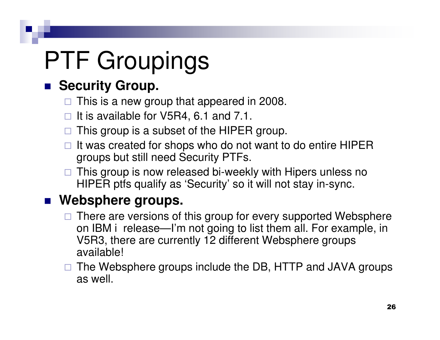### **Security Group.**

- □ This is a new group that appeared in 2008.
- □ It is available for V5R4, 6.1 and 7.1.
- □ This group is a subset of the HIPER group.
- □ It was created for shops who do not want to do entire HIPER groups but still need Security PTFs.
- □ This group is now released bi-weekly with Hipers unless no<br>HIPEP ptfs qualify as 'Sequrity' as it will not stay in avne HIPER ptfs qualify as 'Security' so it will not stay in-sync.

### **Websphere groups.**

- □ There are versions of this group for every supported Websphere on IBM i release—I'm not going to list them all. For example, in V5R3, there are currently 12 different Websphere groups available!
- □ The Websphere groups include the DB, HTTP and JAVA groups as well.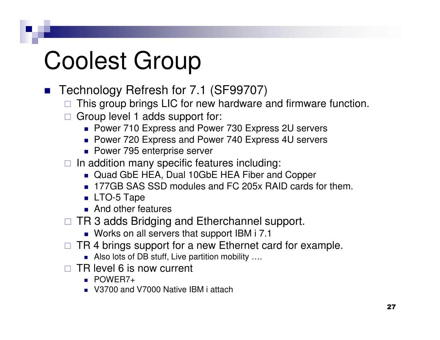### Coolest Group

- Technology Refresh for 7.1 (SF99707)
	- □ This group brings LIC for new hardware and firmware function.
	- □ Group level 1 adds support for:
		- Power 710 Express and Power 730 Express 2U servers
		- Power 720 Express and Power 740 Express 4U servers
		- Power 795 enterprise server
	- □ In addition many specific features including:
		- Quad GbE HEA, Dual 10GbE HEA Fiber and Copper
		- 177GB SAS SSD modules and FC 205x RAID cards for them.
		- LTO-5 Tape
		- **And other features**
	- □ TR 3 adds Bridging and Etherchannel support.
		- Works on all servers that support IBM i 7.1
	- □ TR 4 brings support for a new Ethernet card for example.
		- $\blacksquare$  Also lots of DB stuff, Live partition mobility  $....$
	- □ TR level 6 is now current
		- POWER7+
		- V3700 and V7000 Native IBM i attach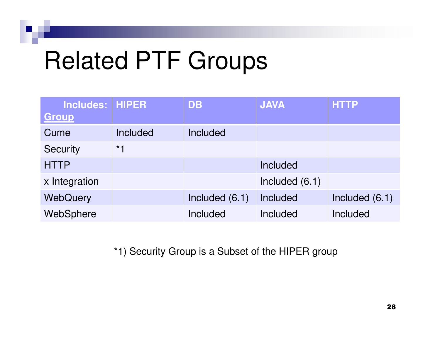### Related PTF Groups

| <b>Includes: HIPER</b><br>Group |          | <b>DB</b>       | <b>JAVA</b>    | <b>HTTP</b>    |
|---------------------------------|----------|-----------------|----------------|----------------|
| Cume                            | Included | <b>Included</b> |                |                |
| <b>Security</b>                 | $*1$     |                 |                |                |
| <b>HTTP</b>                     |          |                 | Included       |                |
| x Integration                   |          |                 | Included (6.1) |                |
| WebQuery                        |          | Included (6.1)  | Included       | Included (6.1) |
| WebSphere                       |          | Included        | Included       | Included       |

\*1) Security Group is a Subset of the HIPER group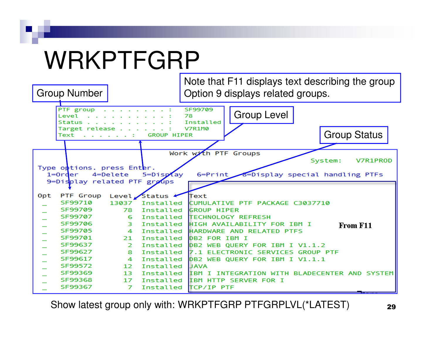### WRKPTFGRP

Group Number

 Note that F11 displays text describing the groupOption 9 displays related groups.



Show latest group only with: WRKPTFGRP PTFGRPLVL(\*LATEST) 29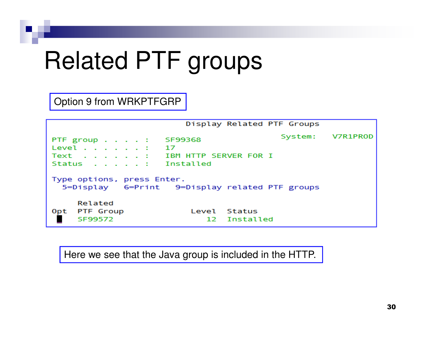### Related PTF groups

Option 9 from WRKPTFGRP

Display Related PTF Groups System: V7R1PR0D PTF group  $\ldots$ . SF99368 Level . . 17 Text IBM HTTP SERVER FOR I **Status** Installed Type options, press Enter. 5=Display 6=Print 9=Display related PTF groups Related Opt PTF Group Level Status . SF99572 Installed 12

Here we see that the Java group is included in the HTTP.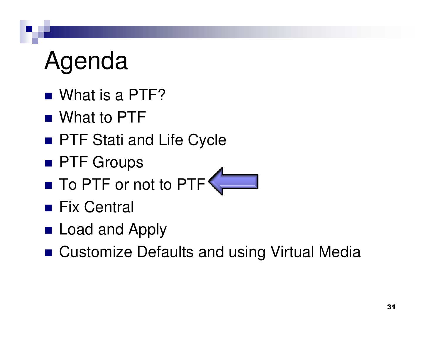### Agenda

- What is a PTF?
- What to PTF
- PTF Stati and Life Cycle
- PTF Groups
- To PTF or not to PTF
- Fix Central
- Load and Apply
- Customize Defaults and using Virtual Media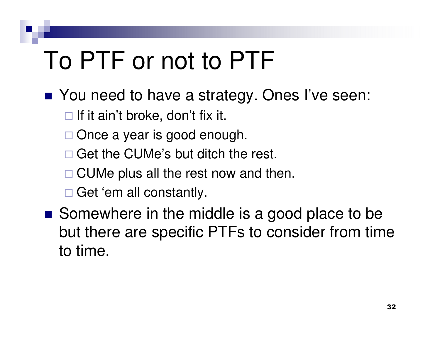### To PTF or not to PTF

- You need to have a strategy. Ones I've seen:
	- $\Box$  If it ain't broke, don't fix it.
	- □ Once a year is good enough.
	- □ Get the CUMe's but ditch the rest.
	- □ CUMe plus all the rest now and then.
	- □ Get 'em all constantly.
- Somewhere in the middle is a good place to be but there are specific PTFs to consider from time to time.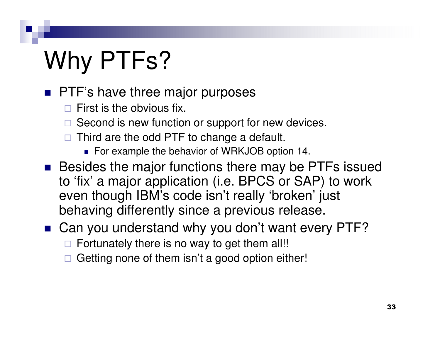## Why PTFs?

- **PTF**'s have three major purposes
	- $\Box$ First is the obvious fix.
	- □ Second is new function or support for new devices.
	- $\Box$  Third are the odd PTF to change a default.
		- For example the behavior of WRKJOB option 14.
- Besides the major functions there may be PTFs issued to 'fix' a major application (i.e. BPCS or SAP) to work even though IBM's code isn't really 'broken' just behaving differently since a previous release.
- Can you understand why you don't want every PTF?
	- □ Fortunately there is no way to get them all!!
	- $\Box$  Getting none of them isn't a good option either!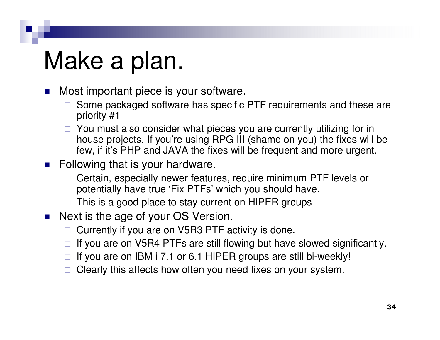### Make a plan.

- У. Most important piece is your software.
	- $\Box$  Some packaged software has specific PTF requirements and these are priority #1
	- □ You must also consider what pieces you are currently utilizing for in house projects. If you're using RPG III (shame on you) the fixes will be few, if it's PHP and JAVA the fixes will be frequent and more urgent.
- **Following that is your hardware.** 
	- $\Box$  Certain, especially newer features, require minimum PTF levels or potentially have true 'Fix PTFs' which you should have.
	- $\Box$ This is a good place to stay current on HIPER groups
- $\mathcal{L}_{\text{max}}$  Next is the age of your OS Version.
	- □ Currently if you are on V5R3 PTF activity is done.
	- $\Box$ If you are on V5R4 PTFs are still flowing but have slowed significantly.
	- $\Box$ If you are on IBM i 7.1 or 6.1 HIPER groups are still bi-weekly!
	- $\Box$ Clearly this affects how often you need fixes on your system.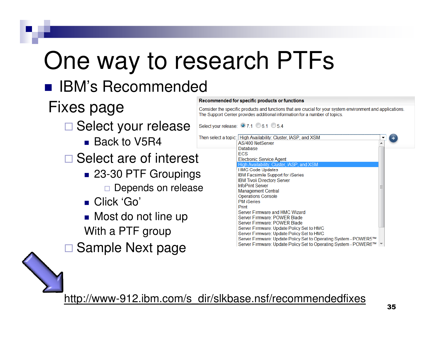## One way to research PTFs

### ■ IBM's Recommended

### Fixes page

- **□ Select your release** 
	- Back to V5R4
- □ Select are of interest
	- 23-30 PTF Groupings
		- □ Depends on release
	- Click 'Go'
	- Most do not line up With a PTF group
- $\Box$ Sample Next page

#### Consider the specific products and functions that are crucial for your system environment and applications. The Support Center provides additional information for a number of topics. Select your release: 0 7.1 0 6.1 0 5.4 Then select a topic: High Availability: Cluster, IASP, and XSM AS/400 NetServer Database **ECS Electronic Service Agent** High Availability: Cluster, IASP, and **HMC Code Updates** IBM Facsimile Support for iSeries **IBM Tivoli Directory Server InfoPrint Server Management Central Operations Console PM** iSeries Print

Server Firmware and HMC Wizard Server Firmware: POWER Blade Server Firmware: POWER Blade

Server Firmware: Update Policy Set to HMC Server Firmware: Update Policy Set to HMC

Server Firmware: Update Policy Set to Operating System - POWER5™ Server Firmware: Update Policy Set to Operating System - POWER6™ T

http://www-912.ibm.com/s\_dir/slkbase.nsf/recommendedfixes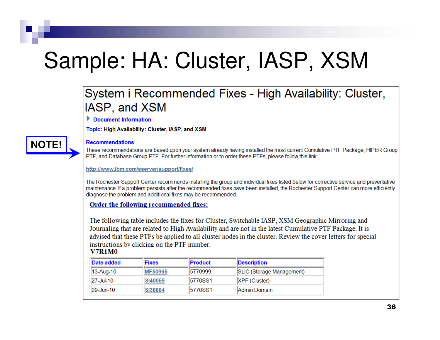### Sample: HA: Cluster, IASP, XSM

### System i Recommended Fixes - High Availability: Cluster, IASP, and XSM

Document Information

Topic: High Availability: Cluster, IASP, and XSM

#### **Recommendations**

**NOTE!**

These recommendations are based upon your system already having installed the most current Cumulative PTF Package, HIPER Group PTF, and Database Group PTF. For further information or to order these PTFs, please follow this link:

http://www.ibm.com/eserver/support/fixes/

The Rochester Support Center recommends installing the group and individual fixes listed below for corrective service and preventative maintenance. If a problem persists after the recommended fixes have been installed, the Rochester Support Center can more efficiently diagnose the problem and additional fixes may be recommended.

#### Order the following recommended fixes:

The following table includes the fixes for Cluster, Switchable IASP, XSM Geographic Mirroring and Journaling that are related to High Availability and are not in the latest Cumulative PTF Package. It is advised that these PTFs be applied to all cluster nodes in the cluster. Review the cover letters for special instructions by clicking on the PTF number.

#### **V7R1M0**

| <b>Date added</b> | <b>IFixes</b>  | <b>IProduct</b> | <b>Description</b>        |
|-------------------|----------------|-----------------|---------------------------|
| $ 13 - Aug - 10 $ | <b>MF50965</b> | 15770999        | SLIC (Storage Management) |
| 27-Jul-10         | SI40059        | <b>5770SS1</b>  | $ XPF(G $ uster $)$       |
| $ 29 - Jun - 10 $ | <b>SI38884</b> | 15770SS1        | llAdmin Domain            |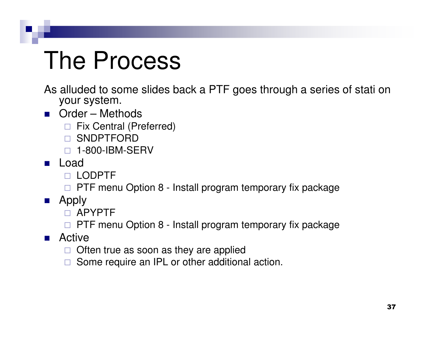### The Process

- As alluded to some slides back a PTF goes through a series of stati on your system.
- Order Methods
	- □ Fix Central (Preferred)<br>- CNDDTFODD
	- □ SNDPTFORD<br>- 1.999.IBM.GF
	- □ 1-800-IBM-SERV
- Load
	- LODPTF
	- □ PTF menu Option 8 Install program temporary fix package
- Apply
	- APYPTF
	- □ PTF menu Option 8 Install program temporary fix package
- Active
	- □ Often true as soon as they are applied
	- $\Box$ Some require an IPL or other additional action.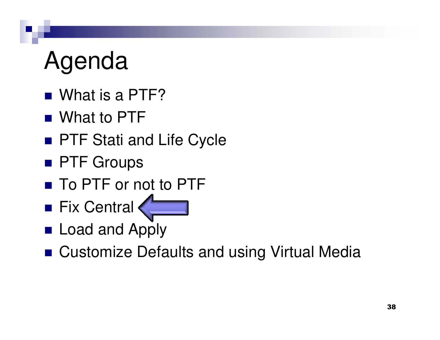# Agenda

- What is a PTF?
- What to PTF
- PTF Stati and Life Cycle
- PTF Groups
- To PTF or not to PTF
- Fix Central
- Load and Apply
- Customize Defaults and using Virtual Media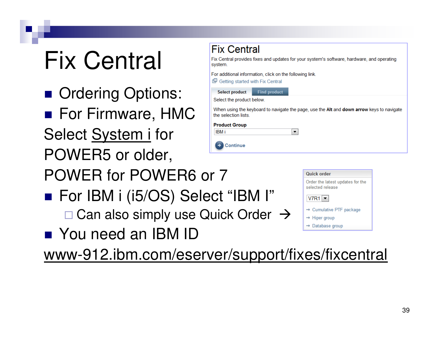# Fix Central

- Ordering Options:
- For Firmware, HMC Select <u>System i</u> for POWER5 or older,



- POWER for POWER6 or 7
- For IBM i (i5/OS) Select "IBM I"
	- □ Can also simply use Quick Order →
- You need an IBM ID

www-912.ibm.com/eserver/support/fixes/fixcentral

| <b>Quick order</b>                                   |
|------------------------------------------------------|
| Order the latest updates for the<br>selected release |
| . .___ . T                                           |

 $V7R1$   $\blacktriangleright$ 

- $\rightarrow$  Cumulative PTF package
- $\rightarrow$  Hiper group
- $\rightarrow$  Database group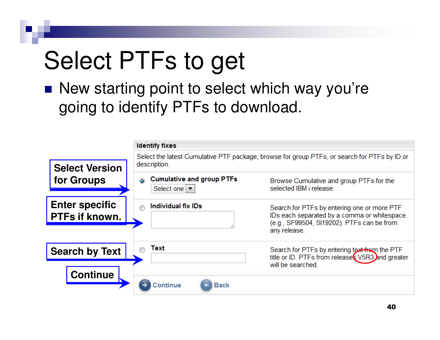# Select PTFs to get

■ New starting point to select which way you're going to identify PTFs to download.

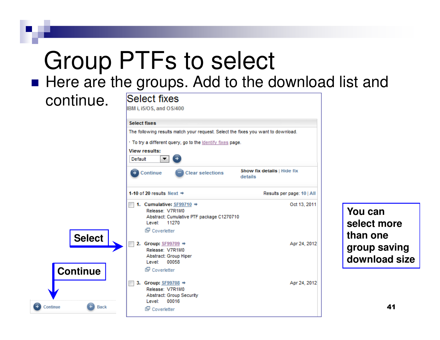# Group PTFs to select

■ Here are the groups. Add to the download list and

continue.IBM i, i5/OS, and OS/400 **Select fixes** The following results match your request. Select the fixes you want to download. . To try a different query, go to the identify fixes page. **View results:** Default ▼ Show fix details | Hide fix Continue **Clear selections** details 1-10 of 20 results Next  $\Rightarrow$ Results per page: 10 | All 1. Cumulative:  $SF99710 \rightarrow$ Oct 13, 2011 Release: V7R1M0 Abstract: Cumulative PTF package C1270710 Level: 11270 Coverletter **Select**2. Group:  $SF99709 \rightarrow$ Apr 24, 2012 Release: V7R1M0 Abstract: Group Hiper Level: 00058 **Continue**Coverletter 3. Group:  $SF99708$   $\rightarrow$ Apr 24, 2012 Release: V7R1M0 **Abstract: Group Security** Level: 00016 Continue  $\leftarrow$ **Back** Coverletter

**You can select morethan one group savingdownload size**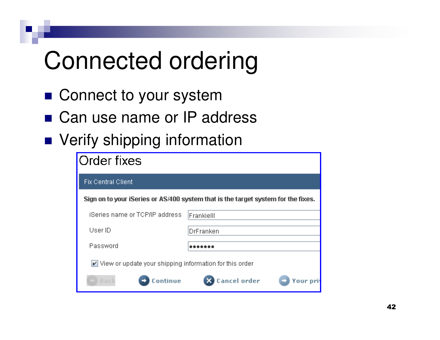# Connected ordering

- Connect to your system
- Can use name or IP address
- Verify shipping information

| Order fixes                                                                       |                               |  |  |
|-----------------------------------------------------------------------------------|-------------------------------|--|--|
| <b>Fix Central Client</b>                                                         |                               |  |  |
| Sign on to your iSeries or AS/400 system that is the target system for the fixes. |                               |  |  |
| iSeries name or TCP/IP address.                                                   | Frankielll                    |  |  |
| User ID                                                                           | DrFranken                     |  |  |
| Password                                                                          |                               |  |  |
| View or update your shipping information for this order                           |                               |  |  |
| ontinue<br><b>Back</b>                                                            | <b>Cancel order</b><br>Your o |  |  |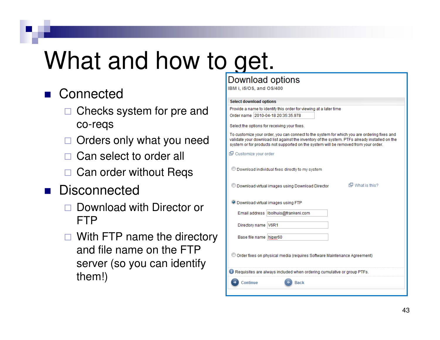# What and how to get.

#### ■ Connected

- □ Checks system for pre and co-reqs
- $\Box$ Orders only what you need
- □ Can select to order all
- □ Can order without Reqs
- m. **Disconnected** 
	- $\Box$  Download with Director or FTP
	- □ With FTP name the directory and file name on the FTP server (so you can identify them!)

#### Download options

IBM i. i5/OS, and OS/400

#### **Select download options**

Provide a name to identify this order for viewing at a later time Order name 2010-04-18 20:35:35.978

Select the options for receiving your fixes.

To customize your order, you can connect to the system for which you are ordering fixes and validate your download list against the inventory of the system. PTEs already installed on the

| system or for products not supported on the system will be removed from your order. |
|-------------------------------------------------------------------------------------|
| 但 Customize your order                                                              |
| © Download individual fixes directly to my system                                   |
| 但 What is this?<br>Download virtual images using Download Director                  |
| <b>O Download virtual images using FTP</b>                                          |
| Email address   Ibolhuis@frankeni.com                                               |
| Directory name V6R1                                                                 |
| Base file name hiper60                                                              |
| Order fixes on physical media (requires Software Maintenance Agreement)             |
| Requisites are always included when ordering cumulative or group PTFs.              |
| Continue<br><b>Back</b>                                                             |
|                                                                                     |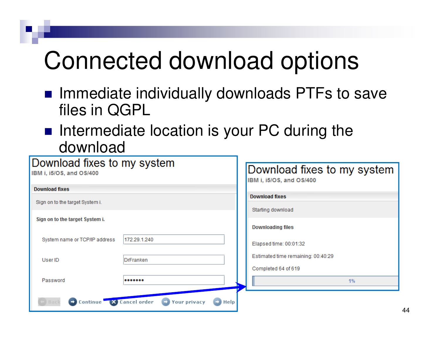# Connected download options

- Immediate individually downloads PTFs to save files in QGPL
- Intermediate location is your PC during the download

| Download fixes to my system<br>IBM i, i5/OS, and OS/400 |                                            | Download fixes to my system<br>IBM i, i5/OS, and OS/400 |                                    |
|---------------------------------------------------------|--------------------------------------------|---------------------------------------------------------|------------------------------------|
| <b>Download fixes</b>                                   |                                            |                                                         |                                    |
| Sign on to the target System i.                         |                                            |                                                         | <b>Download fixes</b>              |
|                                                         |                                            |                                                         | Starting download                  |
| Sign on to the target System i.                         |                                            |                                                         |                                    |
|                                                         |                                            |                                                         | <b>Downloading files</b>           |
|                                                         | 172.29.1.240                               |                                                         |                                    |
| System name or TCP/IP address                           |                                            |                                                         | Elapsed time: 00:01:32             |
|                                                         |                                            |                                                         | Estimated time remaining: 00:40:29 |
| User ID                                                 | DrFranken                                  |                                                         |                                    |
|                                                         |                                            |                                                         | Completed 64 of 619                |
| Password                                                |                                            |                                                         | 1%                                 |
|                                                         |                                            |                                                         |                                    |
| Continue X Cancel order                                 | <b>Your privacy</b><br>$\blacksquare$ Help |                                                         |                                    |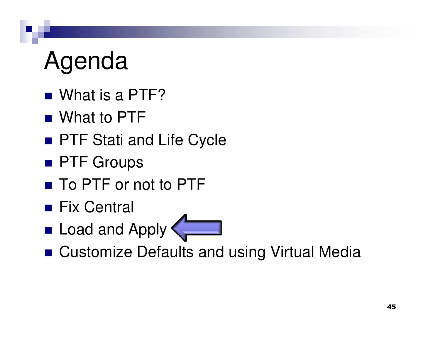# Agenda

- What is a PTF?
- What to PTF
- PTF Stati and Life Cycle
- PTF Groups
- To PTF or not to PTF
- Fix Central
- Load and Apply
- Customize Defaults and using Virtual Media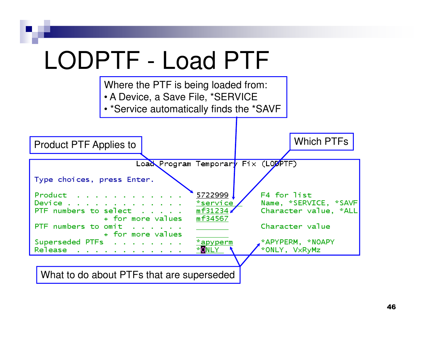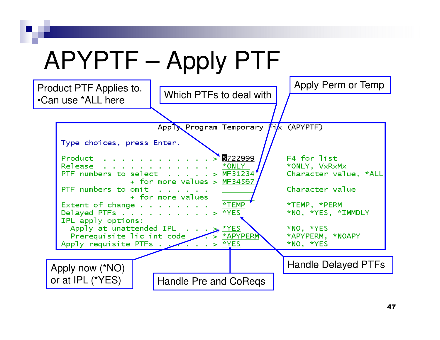# APYPTF – Apply PTF

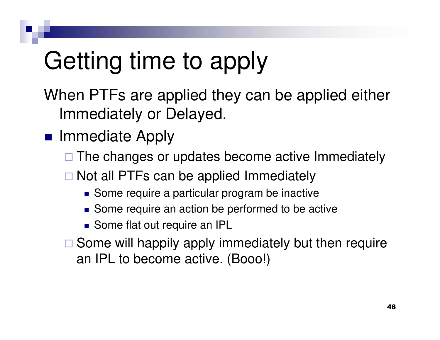# Getting time to apply

When PTFs are applied they can be applied either Immediately or Delayed.

#### ■ Immediate Apply

- □ The changes or updates become active Immediately
- □ Not all PTFs can be applied Immediately
	- Some require a particular program be inactive
	- Some require an action be performed to be active
	- Some flat out require an IPL
- □ Some will happily apply immediately but then require an IPL to become active. (Booo!)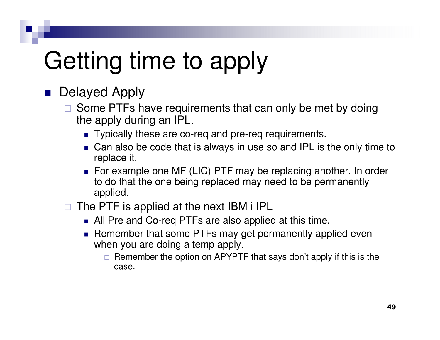# Getting time to apply

#### **Delayed Apply**

- □ Some PTFs have requirements that can only be met by doing<br>the apply during an IDL the apply during an IPL.
	- Typically these are co-req and pre-req requirements.
	- Can also be code that is always in use so and IPL is the only time to replace it.
	- For example one MF (LIC) PTF may be replacing another. In order to do that the one being replaced may need to be permanently applied.
- $\Box$  The PTF is applied at the next IBM i IPL
	- All Pre and Co-req PTFs are also applied at this time.
	- **Remember that some PTFs may get permanently applied even** when you are doing a temp apply.
		- □ Remember the option on APYPTF that says don't apply if this is the case.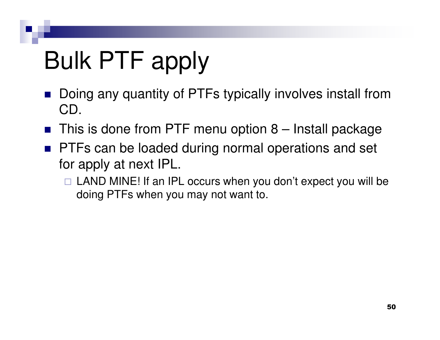# Bulk PTF apply

- Doing any quantity of PTFs typically involves install from CD.
- $\textcolor{red}{\blacksquare}$  This is done from PTF menu option 8 Install package
- **PTFs can be loaded during normal operations and set** for apply at next IPL.
	- □ LAND MINE! If an IPL occurs when you don't expect you will be doing PTFs when you may not want to.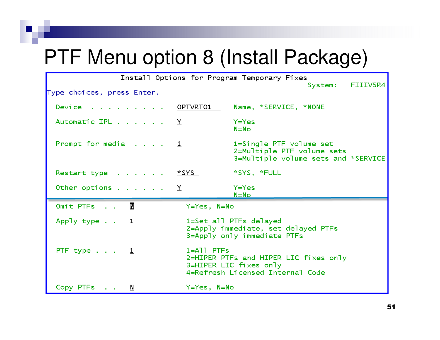#### PTF Menu option 8 (Install Package)

|                                                          |                           | Install Options for Program Temporary Fixes                                                         |
|----------------------------------------------------------|---------------------------|-----------------------------------------------------------------------------------------------------|
| Type choices, press Enter.                               |                           | FIIIV5R4<br>System:                                                                                 |
| Device OPTVRT01                                          |                           | Name, *SERVICE, *NONE                                                                               |
| Automatic IPL $\ldots$ $\ldots$ $\ldots$ $\underline{Y}$ |                           | $Y = Yes$<br>$N = No$                                                                               |
| Prompt for media $\ldots$ $\frac{1}{2}$                  |                           | 1=Single PTF volume set<br>2=Multiple PTF volume sets<br>3=Multiple volume sets and *SERVICE        |
| Restart type <u>*SYS</u>                                 |                           | *SYS, *FULL                                                                                         |
| Other options $\ldots$ $\underline{Y}$                   |                           | Y=Yes<br>$N = No$                                                                                   |
| $\mathbb N$<br>Omit PTFs                                 | Y=Yes, N=No               |                                                                                                     |
| Apply type $\cdot$ $\cdot$ $\frac{1}{2}$                 |                           | 1=Set all PTFs delayed<br>2=Apply immediate, set delayed PTFs<br>3=Apply only immediate PTFs        |
| PTF type $\ldots$ $\frac{1}{2}$                          | $1 = A$ <sup>1</sup> PTFs | 2=HIPER PTFs and HIPER LIC fixes only<br>3=HIPER LIC fixes only<br>4=Refresh Licensed Internal Code |
| Copy PTFs N                                              | Y=Yes, N=No               |                                                                                                     |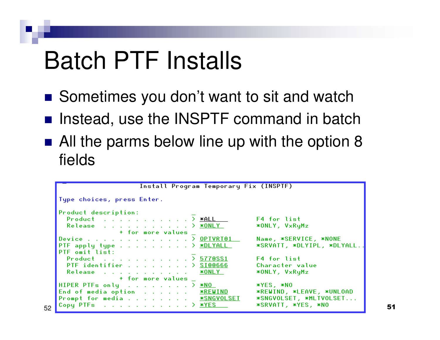#### Batch PTF Installs

52

- Sometimes you don't want to sit and watch
- Instead, use the INSPTF command in batch
- All the parms below line up with the option 8 fields

| Product description:                                                                   |                            |
|----------------------------------------------------------------------------------------|----------------------------|
| Product > $x$ ALL $\Box$                                                               | <b>F4</b> for list         |
| Release $\Sigma$ $\times$ ONLY                                                         | *ONLY, VxRyMz              |
| + for more values                                                                      |                            |
| Device <u>OPTVRT01</u>                                                                 | Name, *SERVICE, *NONE      |
| PTF apply type $\ldots$ $\ldots$ $\ldots$ $\ldots$ $\geq$ *DLYALL                      | *SRVATT, *DLYIPL, *DLYALL. |
| PTF omit list:                                                                         |                            |
| Product > 5770SS1                                                                      | F4 for list                |
| PTF identifier > <u>SI00666</u>                                                        | Character value            |
| Release a contract and contract the<br><u> *ONLY</u>                                   | *ONLY, VxRyMz              |
| + for more values                                                                      |                            |
| HIPER PTFs only $\ldots$ > $*NO$                                                       | *YES, *NO                  |
| End of media option <u>*REWIND</u>                                                     | *REWIND, *LEAVE, *UNLOAD   |
| Prompt for media <u>*SNGVOLSET</u>                                                     | *SNGVOLSET, *MLTVOLSET     |
| Copy PTFs $\ldots$ $\ldots$ $\ldots$ $\ldots$ $\ldots$ $\ldots$ $\geq$ $\frac{WES}{S}$ | *SRVATT, *YES, *NO         |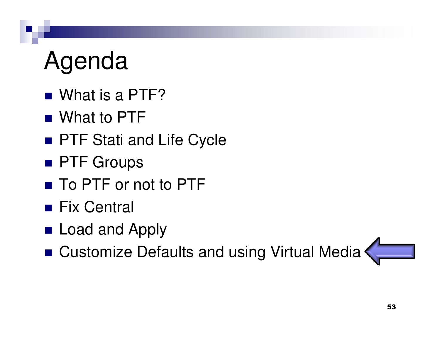# Agenda

- What is a PTF?
- What to PTF
- PTF Stati and Life Cycle
- PTF Groups
- To PTF or not to PTF
- Fix Central
- Load and Apply
- Customize Defaults and using Virtual Media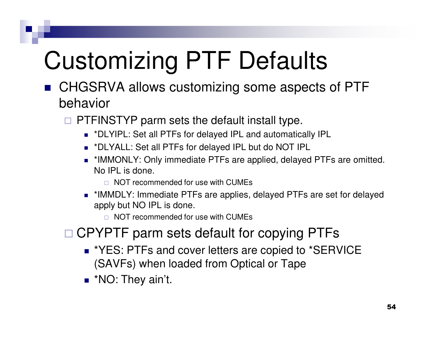# Customizing PTF Defaults

- CHGSRVA allows customizing some aspects of PTF behavior
	- **EXTERENTYP parm sets the default install type.**<br>An Yink Set all BTFs fax delayed in and submatis
		- <sup>\*</sup>DLYIPL: Set all PTFs for delayed IPL and automatically IPL
		- \*DLYALL: Set all PTFs for delayed IPL but do NOT IPL
		- \*IMMONLY: Only immediate PTFs are applied, delayed PTFs are omitted. No IPL is done.
			- $\Box$  NOT recommended for use with CUMEs
		- \*IMMDLY: Immediate PTFs are applies, delayed PTFs are set for delayed apply but NO IPL is done.

 $\Box$  NOT recommended for use with CUMEs

- □ CPYPTF parm sets default for copying PTFs
	- \*YES: PTFs and cover letters are copied to \*SERVICE (SAVFs) when loaded from Optical or Tape
	- <sup>\*</sup>NO: They ain't.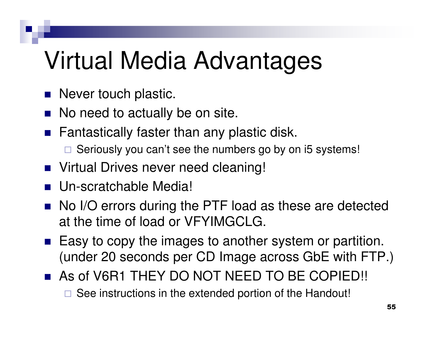# Virtual Media Advantages

- Never touch plastic.
- No need to actually be on site.
- $\blacksquare$  Fantastically faster than any plastic disk.
	- $\Box$  Seriously you can't see the numbers go by on i5 systems!
- Virtual Drives never need cleaning!
- Un-scratchable Media!
- No I/O errors during the PTF load as these are detected at the time of load or VFYIMGCLG.
- Easy to copy the images to another system or partition. (under 20 seconds per CD Image across GbE with FTP.)
- As of V6R1 THEY DO NOT NEED TO BE COPIED!!
	- $\Box$  See instructions in the extended portion of the Handout!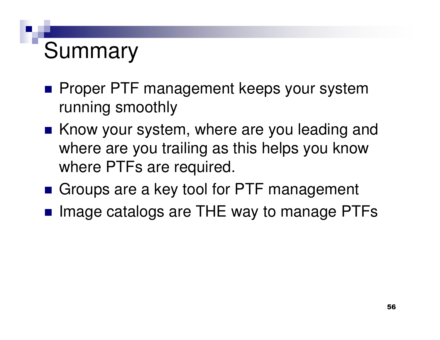#### Summary

- **Proper PTF management keeps your system** running smoothly
- Know your system, where are you leading and where are you trailing as this helps you know where PTFs are required.
- Groups are a key tool for PTF management
- Image catalogs are THE way to manage PTFs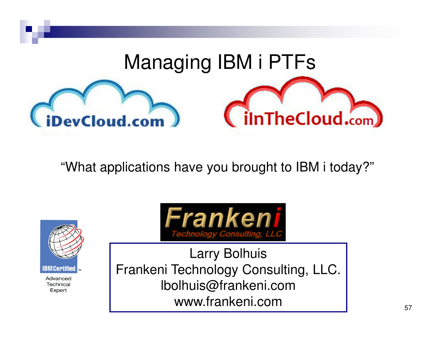

"What applications have you brought to IBM i today?"



Advanced Technical Expert



Larry Bolhuis Frankeni Technology Consulting, LLC. lbolhuis@frankeni.comwww.frankeni.com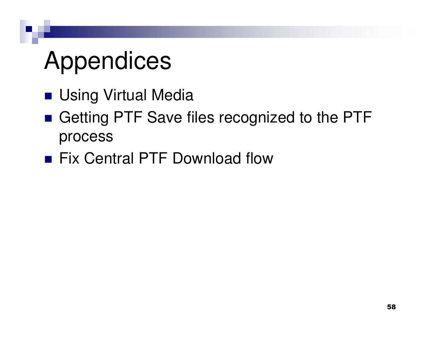# Appendices

- Using Virtual Media
- Getting PTF Save files recognized to the PTF process
- Fix Central PTF Download flow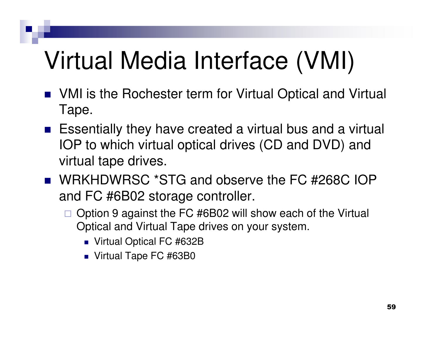# Virtual Media Interface (VMI)

- VMI is the Rochester term for Virtual Optical and Virtual Tape.
- Essentially they have created a virtual bus and a virtual IOP to which virtual optical drives (CD and DVD) and virtual tape drives.
- WRKHDWRSC \*STG and observe the FC #268C IOP and FC #6B02 storage controller.
	- $\Box$  Option 9 against the FC #6B02 will show each of the Virtual Optical and Virtual Tape drives on your system.
		- Virtual Optical FC #632B
		- Virtual Tape FC #63B0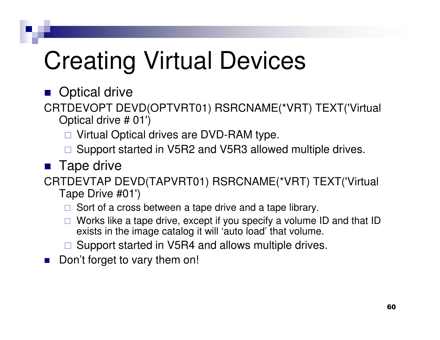# Creating Virtual Devices

■ Optical drive

- CRTDEVOPT DEVD(OPTVRT01) RSRCNAME(\*VRT) TEXT('Virtual Optical drive # 01')
	- □ Virtual Optical drives are DVD-RAM type.
	- □ Support started in V5R2 and V5R3 allowed multiple drives.<br>-
- Tape drive

CRTDEVTAP DEVD(TAPVRT01) RSRCNAME(\*VRT) TEXT('Virtual Tape Drive #01')

- □ Sort of a cross between a tape drive and a tape library.
- □ Works like a tape drive, except if you specify a volume ID and that ID exists in the image catalog it will 'auto load' that volume.
- □ Support started in V5R4 and allows multiple drives.
- $\mathcal{L}_{\mathcal{A}}$ Don't forget to vary them on!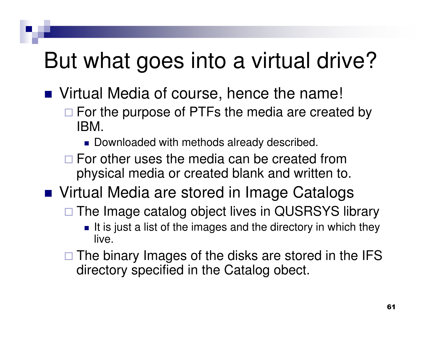#### But what goes into a virtual drive?

- Virtual Media of course, hence the name!
	- □ For the purpose of PTFs the media are created by IBM.
		- Downloaded with methods already described.
	- □ For other uses the media can be created from physical media or created blank and written to.
- Virtual Media are stored in Image Catalogs
	- □ The Image catalog object lives in QUSRSYS library
		- It is just a list of the images and the directory in which they live.
	- □ The binary Images of the disks are stored in the IFS directory specified in the Catalog obect.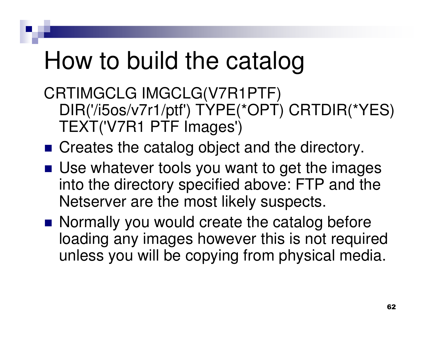### How to build the catalog

CRTIMGCLG IMGCLG(V7R1PTF) DIR('/i5os/v7r1/ptf') TYPE(\*OPT) CRTDIR(\*YES) TEXT('V7R1 PTF Images')

- Creates the catalog object and the directory.
- Use whatever tools you want to get the images into the directory specified above: FTP and the Netserver are the most likely suspects.
- Normally you would create the catalog before loading any images however this is not required unless you will be copying from physical media.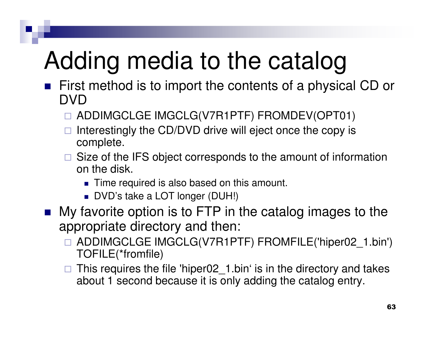# Adding media to the catalog

- First method is to import the contents of a physical CD or DVD
	- □ ADDIMGCLGE IMGCLG(V7R1PTF) FROMDEV(OPT01)
	- □ Interestingly the CD/DVD drive will eject once the copy is and annual to annual to annual to annual to annual to annual to annual to annual to annual to annual to annual to annual to annual to annual to annual to annual complete.
	- □ Size of the IFS object corresponds to the amount of information on the disk.
		- Time required is also based on this amount.
		- DVD's take a LOT longer (DUH!)
- **My favorite option is to FTP in the catalog images to the** appropriate directory and then:
	- ADDIMGCLGE IMGCLG(V7R1PTF) FROMFILE('hiper02\_1.bin') TOFILE(\*fromfile)
	- $\Box$  This requires the file 'hiper02\_1.bin' is in the directory and takes about 1 second because it is only adding the catalog entry.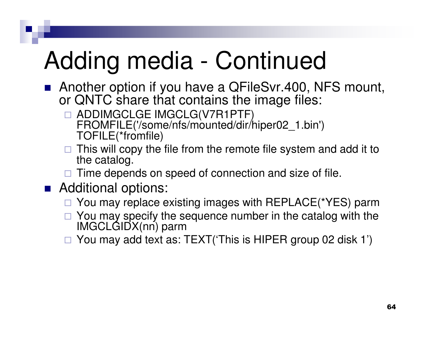# Adding media - Continued

- Another option if you have a QFileSvr.400, NFS mount, or QNTC share that contains the image files:
	- □ ADDIMGCLGE IMGCLG(V7R1PTF)<br>EBOMEILE('/some/nfs/mounted/dir/h FROMFILE('/some/nfs/mounted/dir/hiper02\_1.bin') TOFILE(\*fromfile)
	- □ This will copy the file from the remote file system and add it to the catalog the catalog.
	- □ Time depends on speed of connection and size of file.<br>
	□ Litt
- Additional options:
	- □ You may replace existing images with REPLACE(\*YES) parm
	- □ You may specify the sequence number in the catalog with the  $\blacksquare$ IMGCLGIDX(nn) parm
	- □ You may add text as: TEXT('This is HIPER group 02 disk 1')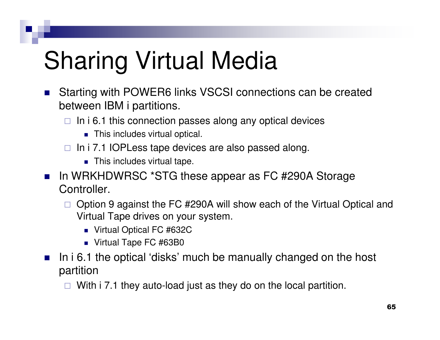# Sharing Virtual Media

- $\mathcal{L}_{\mathcal{A}}$  Starting with POWER6 links VSCSI connections can be created between IBM i partitions.
	- $\Box$  In i 6.1 this connection passes along any optical devices
		- **This includes virtual optical.**
	- $\Box$  In i 7.1 IOPLess tape devices are also passed along.
		- $\textcolor{red}{\bullet}$  This includes virtual tape.
- $\mathcal{L}(\mathcal{L})$  In WRKHDWRSC \*STG these appear as FC #290A Storage Controller.
	- $\Box$  Option 9 against the FC #290A will show each of the Virtual Optical and Virtual Tape drives on your system.
		- Virtual Optical FC #632C
		- Virtual Tape FC #63B0
- $\mathcal{L}^{\text{max}}_{\text{max}}$  In i 6.1 the optical 'disks' much be manually changed on the host partition
	- $\Box$ With i 7.1 they auto-load just as they do on the local partition.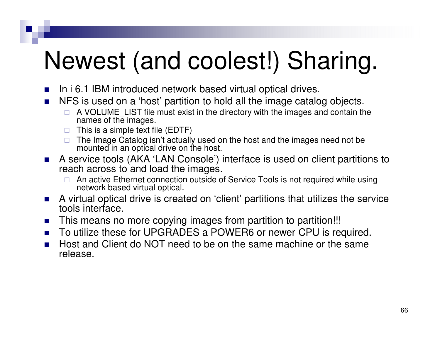# Newest (and coolest!) Sharing.

- $\mathcal{L}_{\mathcal{A}}$ In i 6.1 IBM introduced network based virtual optical drives.
- $\mathcal{O}^{\mathcal{O}}_{\mathcal{O}}$  NFS is used on a 'host' partition to hold all the image catalog objects.
	- □ A VOLUME\_LIST file must exist in the directory with the images and contain the names of the images names of the images.
	- $\Box$  This is a simple text file (EDTF)
	- □ The Image Catalog isn't actually used on the host and the images need not be mounted in an optical drive on the host mounted in an optical drive on the host.
- A service tools (AKA 'LAN Console') interface is used on client partitions to  $\mathcal{C}^{\mathcal{A}}$ reach across to and load the images.
	- □ An active Ethernet connection outside of Service Tools is not required while using<br>network based virtual optical  $\Box$ network based virtual optical.
- $\mathcal{L}_{\mathcal{A}}$  A virtual optical drive is created on 'client' partitions that utilizes the service tools interface.
- $\sim 10$ This means no more copying images from partition to partition!!!
- $\sim$ To utilize these for UPGRADES a POWER6 or newer CPU is required.
- $\sim$  Host and Client do NOT need to be on the same machine or the same release.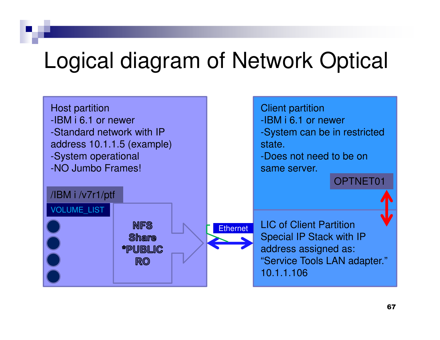#### Logical diagram of Network Optical

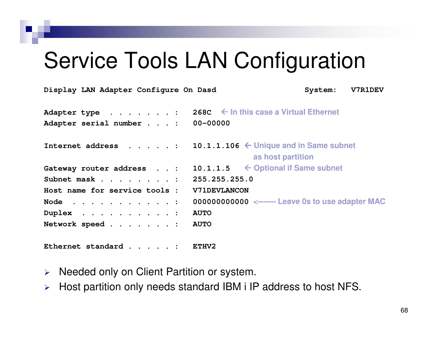#### Service Tools LAN Configuration

| Display LAN Adapter Configure On Dasd                                                                      | System: | <b>V7R1DEV</b> |
|------------------------------------------------------------------------------------------------------------|---------|----------------|
| 268C $\leftarrow$ In this case a Virtual Ethernet<br>Adapter type :<br>00-00000<br>Adapter serial number : |         |                |
| 10.1.1.106 $\leftarrow$ Unique and in Same subnet<br>Internet address :<br>as host partition               |         |                |
| 10.1.1.5 $\leftarrow$ Optional if Same subnet<br>Gateway router address :                                  |         |                |
| 255.255.255.0<br>Subnet mask :                                                                             |         |                |
| Host name for service tools :<br><b>V71DEVLANCON</b>                                                       |         |                |
| 000000000000 <------- Leave 0s to use adapter MAC<br>Node $\cdots$ :                                       |         |                |
| <b>AUTO</b><br>Duplex $\ldots$ :                                                                           |         |                |
| Network speed :<br><b>AUTO</b>                                                                             |         |                |
| Ethernet standard :<br>ETHV2                                                                               |         |                |

- $\blacktriangleright$ Needed only on Client Partition or system.
- $\blacktriangleright$ Host partition only needs standard IBM i IP address to host NFS.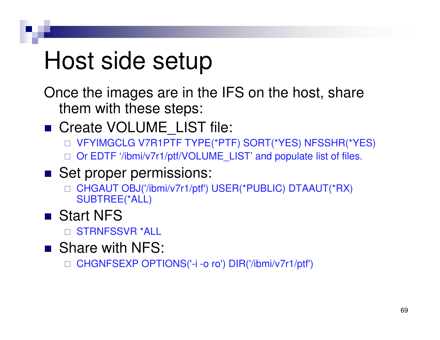### Host side setup

Once the images are in the IFS on the host, share them with these steps:

- Create VOLUME\_LIST file:
	- □ VFYIMGCLG V7R1PTF TYPE(\*PTF) SORT(\*YES) NFSSHR(\*YES)
	- □ Or EDTF '/ibmi/v7r1/ptf/VOLUME\_LIST' and populate list of files.
- Set proper permissions:
	- □ CHGAUT OBJ('/ibmi/v7r1/ptf') USER(\*PUBLIC) DTAAUT(\*RX)<br>△ LIPTDEE/\*ALL) SUBTREE(\*ALL)
- Start NFS
	- □ STRNFSSVR \*ALL
- Share with NFS:
	- $\Box$ CHGNFSEXP OPTIONS('-i -o ro') DIR('/ibmi/v7r1/ptf')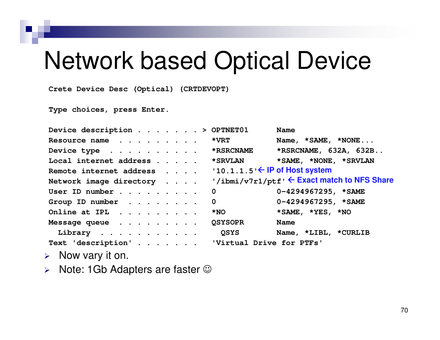#### Network based Optical Device

**Crete Device Desc (Optical) (CRTDEVOPT)** 

**Type choices, press Enter.** 

| Device description > OPTNET01                                     | <b>Name</b>                                 |
|-------------------------------------------------------------------|---------------------------------------------|
| Resource name                                                     | *VRT<br>Name, *SAME, *NONE                  |
| Device type *RSRCNAME                                             | *RSRCNAME, 632A, 632B                       |
| Local internet address                                            | *SAME, *NONE, *SRVLAN<br><b>*SRVLAN</b>     |
| Remote internet address '10.1.1.5' $\leftarrow$ IP of Host system |                                             |
| Network image directory                                           | '/ibmi/v7r1/ptf' ← Exact match to NFS Share |
| User ID number                                                    | $0-4294967295$ , *SAME<br>$\mathbf 0$       |
| Group ID number                                                   | $0-4294967295$ , *SAME<br>$\mathbf 0$       |
| Online at IPL                                                     | *SAME, *YES, *NO<br>$*_{\rm NO}$            |
| Message queue                                                     | <b>QSYSOPR</b><br><b>Name</b>               |
| Library                                                           | <b>OSYS</b><br>Name, *LIBL, *CURLIB         |
| Text 'description' 'Virtual Drive for PTFs'                       |                                             |
| $\triangleright$ Now vary it on.                                  |                                             |
|                                                                   |                                             |

 $\triangleright$  Note: 1Gb Adapters are faster  $\odot$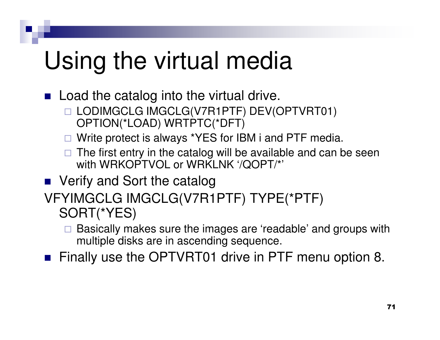### Using the virtual media

■ Load the catalog into the virtual drive.

- LODIMGCLG IMGCLG(V7R1PTF) DEV(OPTVRT01) OPTION(\*LOAD) WRTPTC(\*DFT)
- □ Write protect is always \*YES for IBM i and PTF media.
- □ The first entry in the catalog will be available and can be seen<br>with WBKORTVOL or WBKLNK '/OOBT/\*' with WRKOPTVOL or WRKLNK '/QOPT/\*'
- Verify and Sort the catalog
- VFYIMGCLG IMGCLG(V7R1PTF) TYPE(\*PTF) SORT(\*YES)
	- $\Box$  Basically makes sure the images are 'readable' and groups with multiple disks are in ascending sequence.

■ Finally use the OPTVRT01 drive in PTF menu option 8.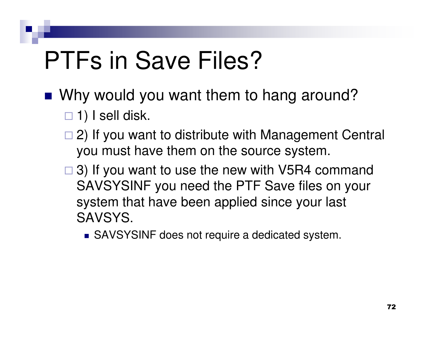# PTFs in Save Files?

- Why would you want them to hang around?
	- $\Box$  1) I sell disk.
	- □ 2) If you want to distribute with Management Central you must have them on the source system.
	- □ 3) If you want to use the new with V5R4 command SAVSYSINF you need the PTF Save files on your system that have been applied since your last SAVSYS.
		- SAVSYSINF does not require a dedicated system.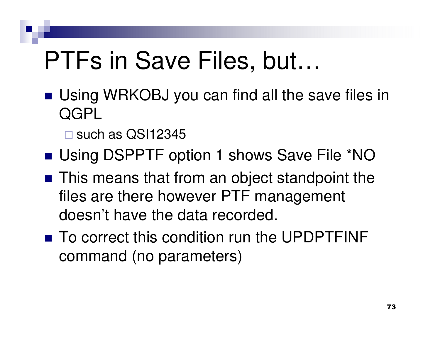#### PTFs in Save Files, but…

- Using WRKOBJ you can find all the save files in **QGPL** 
	- □ such as QSI12345
- Using DSPPTF option 1 shows Save File \*NO
- This means that from an object standpoint the files are there however PTF management doesn't have the data recorded.
- To correct this condition run the UPDPTFINF command (no parameters)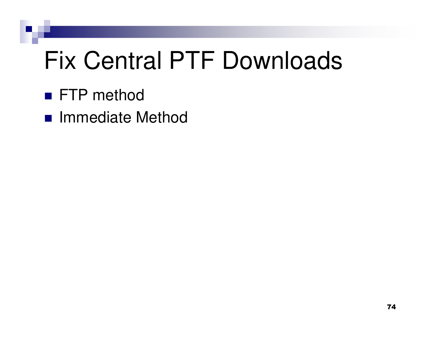# Fix Central PTF Downloads

- FTP method
- Immediate Method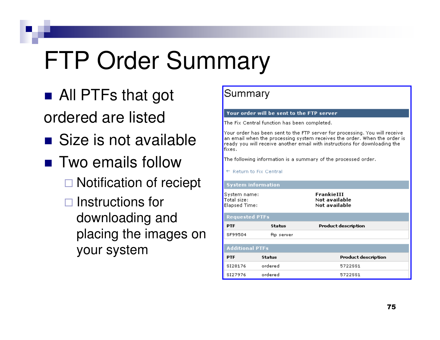## FTP Order Summary

- All PTFs that got ordered are listed
- Size is not available
- Two emails follow
	- □ Notification of reciept
	- □ Instructions for downloading and placing the images on your system

#### Summary

#### Your order will be sent to the FTP server

The Fix Central function has been completed.

Your order has been sent to the FTP server for processing. You will receive an email when the processing system receives the order. When the order is ready you will receive another email with instructions for downloading the fixes.

The following information is a summary of the processed order.

← Return to Fix Central

#### **System information**

System name: Total size: Elapsed Time:

FrankieIII Not available Not available

| <b>Requested PTFs</b>  |            |                            |  |  |  |
|------------------------|------------|----------------------------|--|--|--|
| <b>PTF</b>             | Status     | <b>Product description</b> |  |  |  |
| SF99504                | ftp server |                            |  |  |  |
|                        |            |                            |  |  |  |
| <b>Additional PTFs</b> |            |                            |  |  |  |
| <b>PTF</b>             | Status     | <b>Product description</b> |  |  |  |
| SI28176                | ordered    | 5722881                    |  |  |  |
| SI27976                | ordered    | 5722881                    |  |  |  |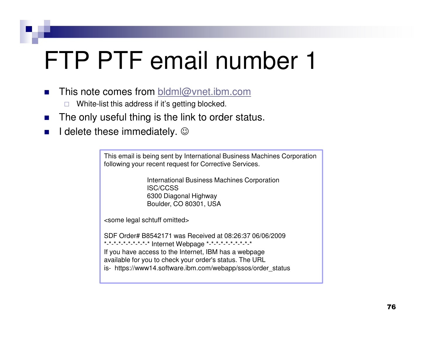### FTP PTF email number 1

- $\mathbf{r}$ This note comes from bldml@vnet.ibm.com
	- $\Box$ White-list this address if it's getting blocked.
- n. The only useful thing is the link to order status.
- $\mathcal{L}_{\mathcal{A}}$ **I** delete these immediately.  $\odot$

This email is being sent by International Business Machines Corporationfollowing your recent request for Corrective Services.

> International Business Machines CorporationISC/CCSS 6300 Diagonal HighwayBoulder, CO 80301, USA

<some legal schtuff omitted>

SDF Order# B8542171 was Received at 08:26:37 06/06/2009\*-\*-\*-\*-\*-\*-\*-\*-\*-\* Internet Webpage \*-\*-\*-\*-\*-\*-\*-\*-\*-\* If you have access to the Internet, IBM has a webpage available for you to check your order's status. The URLis- https://www14.software.ibm.com/webapp/ssos/order\_status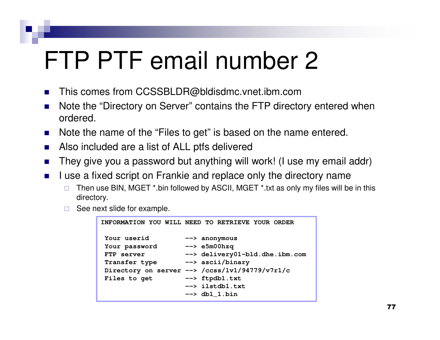### FTP PTF email number 2

- $\mathcal{L}_{\mathcal{A}}$ This comes from CCSSBLDR@bldisdmc.vnet.ibm.com
- Note the "Directory on Server" contains the FTP directory entered when  $\mathcal{L}_{\mathcal{A}}$ ordered.
- $\mathcal{L}_{\mathcal{A}}$ Note the name of the "Files to get" is based on the name entered.
- $\mathcal{L}_{\rm{max}}$ Also included are a list of ALL ptfs delivered
- $\mathcal{L}_{\mathcal{A}}$ They give you a password but anything will work! (I use my email addr)
- $\mathcal{L}_{\mathcal{A}}$  I use a fixed script on Frankie and replace only the directory name
	- $\Box$  Then use BIN, MGET \*.bin followed by ASCII, MGET \*.txt as only my files will be in this directory.
	- $\Box$ See next slide for example.

```
INFORMATION YOU WILL NEED TO RETRIEVE YOUR ORDERYour userid --> anonymous
Your password --> e5m00hzq
FTP server --> delivery01-bld.dhe.ibm.com Transfer type --> ascii/binary
Directory on server --> /ccss/lv1/94779/v7r1/cFiles to get --> ftpdb1.txt

--> ilstdb1.txt--> db1_1.bin
```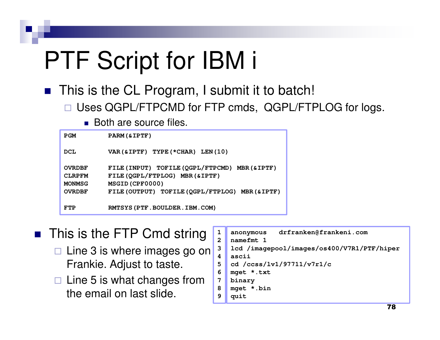# PTF Script for IBM i

■ This is the CL Program, I submit it to batch!

 $\Box$ Uses QGPL/FTPCMD for FTP cmds, QGPL/FTPLOG for logs.

■ Both are source files.

| <b>PGM</b>                                                       | PARM (& IPTF)                                                                                                                                           |
|------------------------------------------------------------------|---------------------------------------------------------------------------------------------------------------------------------------------------------|
| <b>DCL</b>                                                       | VAR (& IPTF) TYPE (*CHAR) LEN (10)                                                                                                                      |
| <b>OVRDBF</b><br><b>CLRPFM</b><br><b>MONMSG</b><br><b>OVRDBF</b> | FILE (INPUT) TOFILE (QGPL/FTPCMD) MBR (& IPTF)<br>FILE (QGPL/FTPLOG) MBR (& IPTF)<br>MSGID (CPF0000)<br>FILE (OUTPUT) TOFILE (QGPL/FTPLOG) MBR (& IPTF) |
| FTP                                                              | RMTSYS (PTF. BOULDER. IBM. COM)                                                                                                                         |

- This is the FTP Cmd string □ Line 3 is where images go on Frankie. Adjust to taste.
	- □ Line 5 is what changes from the email on last slide.

```
anonymous drfranken@frankeni.com namefmt 1
lcd /imagepool/images/os400/V7R1/PTF/hiper
ascii
cd /ccss/lv1/97711/v7r1/c
mget *.txt 
binary 
mget *.bin 
quit
```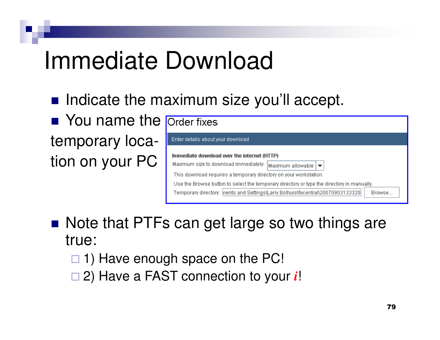#### Immediate Download

**n** Indicate the maximum size you'll accept.

**Nou name the** temporary location on your PC

| <b>Order fixes</b>                                                                                                                                                                                                                                                                                                                                                            |  |  |  |  |
|-------------------------------------------------------------------------------------------------------------------------------------------------------------------------------------------------------------------------------------------------------------------------------------------------------------------------------------------------------------------------------|--|--|--|--|
| Enter details about your download                                                                                                                                                                                                                                                                                                                                             |  |  |  |  |
| Immediate download over the internet (HTTP)<br>Maximum size to download immediately:<br>Maximum allowable  <br>This download requires a temporary directory on your workstation.<br>Use the Browse button to select the temporary directory or type the directory in manually.<br>Temporary directory:  nents and Settings\Larry Bolhuis\fixcentral\20070903133320 <br>Browse |  |  |  |  |

■ Note that PTFs can get large so two things are true:

- □ 1) Have enough space on the PC!
- □ 2) Have a FAST connection to your *i*!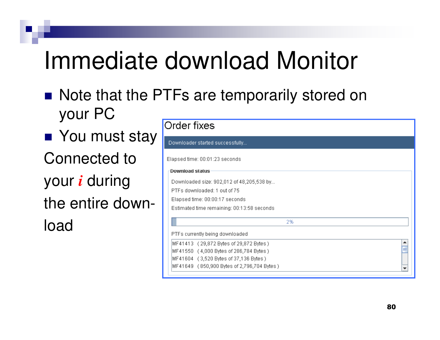#### Immediate download Monitor

■ Note that the PTFs are temporarily stored on your PC

■ You must stay Connected toyour *i* during the entire download

| <b>Order fixes</b>                        |                                            |  |  |  |
|-------------------------------------------|--------------------------------------------|--|--|--|
|                                           | Downloader started successfully            |  |  |  |
|                                           | Elapsed time: 00:01:23 seconds             |  |  |  |
| <b>Download status</b>                    |                                            |  |  |  |
| Downloaded size: 902,012 of 48,205,538 by |                                            |  |  |  |
| PTFs downloaded: 1 out of 75              |                                            |  |  |  |
|                                           | Elapsed time: 00:00:17 seconds             |  |  |  |
|                                           | Estimated time remaining: 00:13:58 seconds |  |  |  |
|                                           | 2%                                         |  |  |  |
|                                           | PTFs currently being downloaded            |  |  |  |
|                                           | MF41413 (29,872 Bytes of 29,872 Bytes)     |  |  |  |
|                                           | MF41550 (4,000 Bytes of 286,784 Bytes)     |  |  |  |
|                                           | MF41604 (3,520 Bytes of 37,136 Bytes)      |  |  |  |
|                                           | MF41649 (850,900 Bytes of 2,796,704 Bytes) |  |  |  |